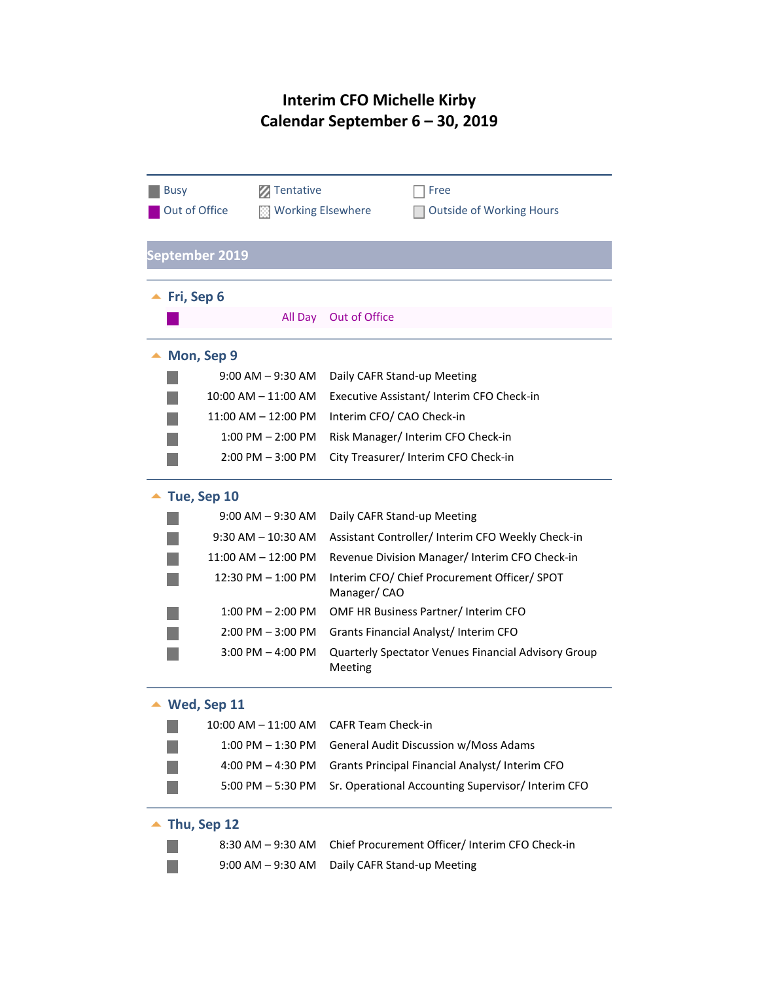## **Interim CFO Michelle Kirby Calendar September 6 – 30, 2019**

| <b>Busy</b>                  | Tentative             | Free                                                           |  |  |  |
|------------------------------|-----------------------|----------------------------------------------------------------|--|--|--|
| Out of Office                |                       | <b>Working Elsewhere</b><br><b>Outside of Working Hours</b>    |  |  |  |
|                              |                       |                                                                |  |  |  |
| <b>September 2019</b>        |                       |                                                                |  |  |  |
|                              |                       |                                                                |  |  |  |
| $\blacktriangle$ Fri, Sep 6  |                       |                                                                |  |  |  |
|                              | All Day               | Out of Office                                                  |  |  |  |
| Mon, Sep 9                   |                       |                                                                |  |  |  |
|                              | $9:00$ AM $-9:30$ AM  | Daily CAFR Stand-up Meeting                                    |  |  |  |
|                              | 10:00 AM - 11:00 AM   | Executive Assistant/Interim CFO Check-in                       |  |  |  |
|                              | 11:00 AM - 12:00 PM   | Interim CFO/ CAO Check-in                                      |  |  |  |
|                              | 1:00 PM - 2:00 PM     | Risk Manager/ Interim CFO Check-in                             |  |  |  |
|                              | $2:00$ PM $-3:00$ PM  | City Treasurer/ Interim CFO Check-in                           |  |  |  |
| Tue, Sep 10                  |                       |                                                                |  |  |  |
|                              | $9:00$ AM $-9:30$ AM  | Daily CAFR Stand-up Meeting                                    |  |  |  |
| $9:30$ AM $-10:30$ AM        |                       | Assistant Controller/ Interim CFO Weekly Check-in              |  |  |  |
|                              | 11:00 AM - 12:00 PM   | Revenue Division Manager/Interim CFO Check-in                  |  |  |  |
|                              | 12:30 PM - 1:00 PM    | Interim CFO/ Chief Procurement Officer/ SPOT<br>Manager/CAO    |  |  |  |
|                              | $1:00$ PM $- 2:00$ PM | OMF HR Business Partner/Interim CFO                            |  |  |  |
|                              | $2:00$ PM $-3:00$ PM  | Grants Financial Analyst/ Interim CFO                          |  |  |  |
|                              | $3:00$ PM $-$ 4:00 PM | Quarterly Spectator Venues Financial Advisory Group<br>Meeting |  |  |  |
| Wed, Sep 11                  |                       |                                                                |  |  |  |
|                              |                       | 10:00 AM – 11:00 AM  CAFR Team Check-in                        |  |  |  |
|                              | 1:00 PM - 1:30 PM     | General Audit Discussion w/Moss Adams                          |  |  |  |
|                              | $4:00$ PM $- 4:30$ PM | Grants Principal Financial Analyst/ Interim CFO                |  |  |  |
|                              | $5:00$ PM $-5:30$ PM  | Sr. Operational Accounting Supervisor/Interim CFO              |  |  |  |
| $\blacktriangle$ Thu, Sep 12 |                       |                                                                |  |  |  |
|                              | 8:30 AM - 9:30 AM     | Chief Procurement Officer/ Interim CFO Check-in                |  |  |  |
|                              | $9:00$ AM $-9:30$ AM  | Daily CAFR Stand-up Meeting                                    |  |  |  |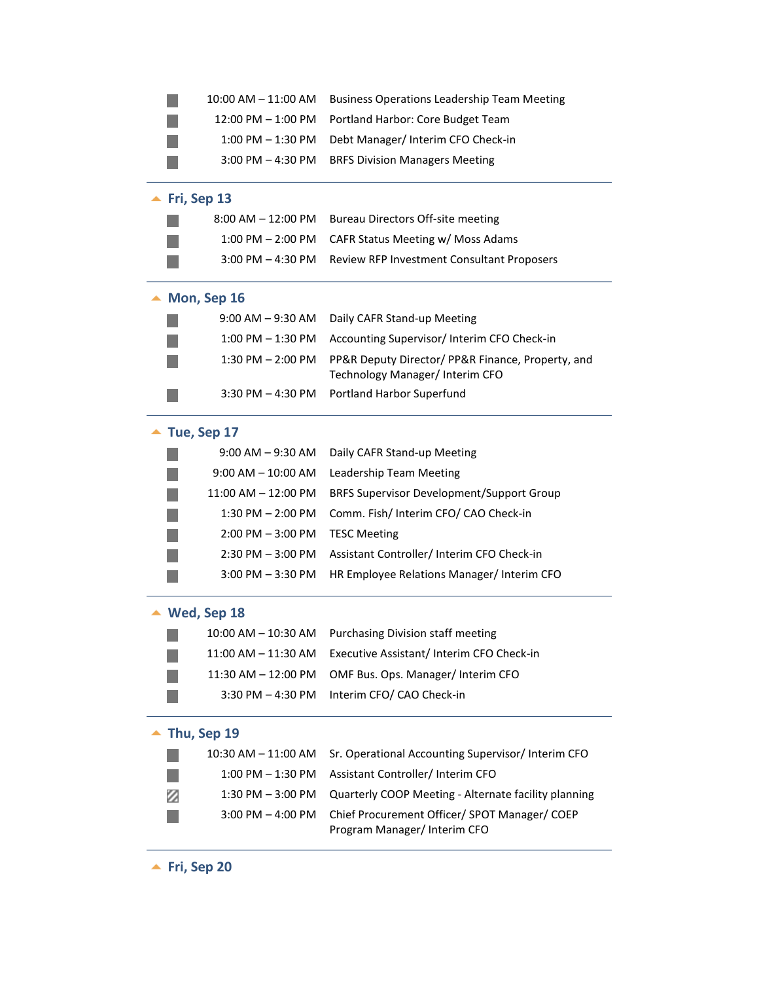|                              | 10:00 AM - 11:00 AM          | <b>Business Operations Leadership Team Meeting</b>                                   |  |  |  |
|------------------------------|------------------------------|--------------------------------------------------------------------------------------|--|--|--|
|                              | 12:00 PM - 1:00 PM           | Portland Harbor: Core Budget Team                                                    |  |  |  |
|                              | 1:00 PM - 1:30 PM            | Debt Manager/ Interim CFO Check-in                                                   |  |  |  |
|                              | $3:00$ PM $-$ 4:30 PM        | <b>BRFS Division Managers Meeting</b>                                                |  |  |  |
|                              | $\blacktriangle$ Fri, Sep 13 |                                                                                      |  |  |  |
|                              | $8:00$ AM $-$ 12:00 PM       | <b>Bureau Directors Off-site meeting</b>                                             |  |  |  |
|                              | $1:00$ PM $- 2:00$ PM        | CAFR Status Meeting w/ Moss Adams                                                    |  |  |  |
|                              | $3:00$ PM $-$ 4:30 PM        | <b>Review RFP Investment Consultant Proposers</b>                                    |  |  |  |
|                              | Mon, Sep 16                  |                                                                                      |  |  |  |
|                              | $9:00$ AM $-9:30$ AM         | Daily CAFR Stand-up Meeting                                                          |  |  |  |
|                              | $1:00$ PM $-1:30$ PM         | Accounting Supervisor/ Interim CFO Check-in                                          |  |  |  |
|                              | $1:30$ PM $- 2:00$ PM        | PP&R Deputy Director/ PP&R Finance, Property, and<br>Technology Manager/ Interim CFO |  |  |  |
|                              | 3:30 PM – 4:30 PM            | Portland Harbor Superfund                                                            |  |  |  |
|                              | $\blacktriangle$ Tue, Sep 17 |                                                                                      |  |  |  |
|                              | $9:00$ AM $-9:30$ AM         | Daily CAFR Stand-up Meeting                                                          |  |  |  |
|                              | $9:00$ AM $-$ 10:00 AM       | Leadership Team Meeting                                                              |  |  |  |
|                              | 11:00 AM - 12:00 PM          | <b>BRFS Supervisor Development/Support Group</b>                                     |  |  |  |
|                              | 1:30 PM - 2:00 PM            | Comm. Fish/ Interim CFO/ CAO Check-in                                                |  |  |  |
|                              | $2:00$ PM $-3:00$ PM         | <b>TESC Meeting</b>                                                                  |  |  |  |
|                              | $2:30$ PM $-3:00$ PM         | Assistant Controller/ Interim CFO Check-in                                           |  |  |  |
|                              | $3:00$ PM $-3:30$ PM         | HR Employee Relations Manager/Interim CFO                                            |  |  |  |
| Wed, Sep 18                  |                              |                                                                                      |  |  |  |
|                              | 10:00 AM – 10:30 AM          | Purchasing Division staff meeting                                                    |  |  |  |
|                              | 11:00 AM - 11:30 AM          | Executive Assistant/ Interim CFO Check-in                                            |  |  |  |
|                              | 11:30 AM - 12:00 PM          | OMF Bus. Ops. Manager/ Interim CFO                                                   |  |  |  |
|                              | $3:30$ PM $-$ 4:30 PM        | Interim CFO/ CAO Check-in                                                            |  |  |  |
| $\blacktriangle$ Thu, Sep 19 |                              |                                                                                      |  |  |  |
|                              | 10:30 AM - 11:00 AM          | Sr. Operational Accounting Supervisor/Interim CFO                                    |  |  |  |
|                              | 1:00 PM - 1:30 PM            | Assistant Controller/ Interim CFO                                                    |  |  |  |
| Ø                            | $1:30$ PM $-3:00$ PM         | Quarterly COOP Meeting - Alternate facility planning                                 |  |  |  |
|                              | $3:00$ PM $-$ 4:00 PM        | Chief Procurement Officer/ SPOT Manager/ COEP<br>Program Manager/ Interim CFO        |  |  |  |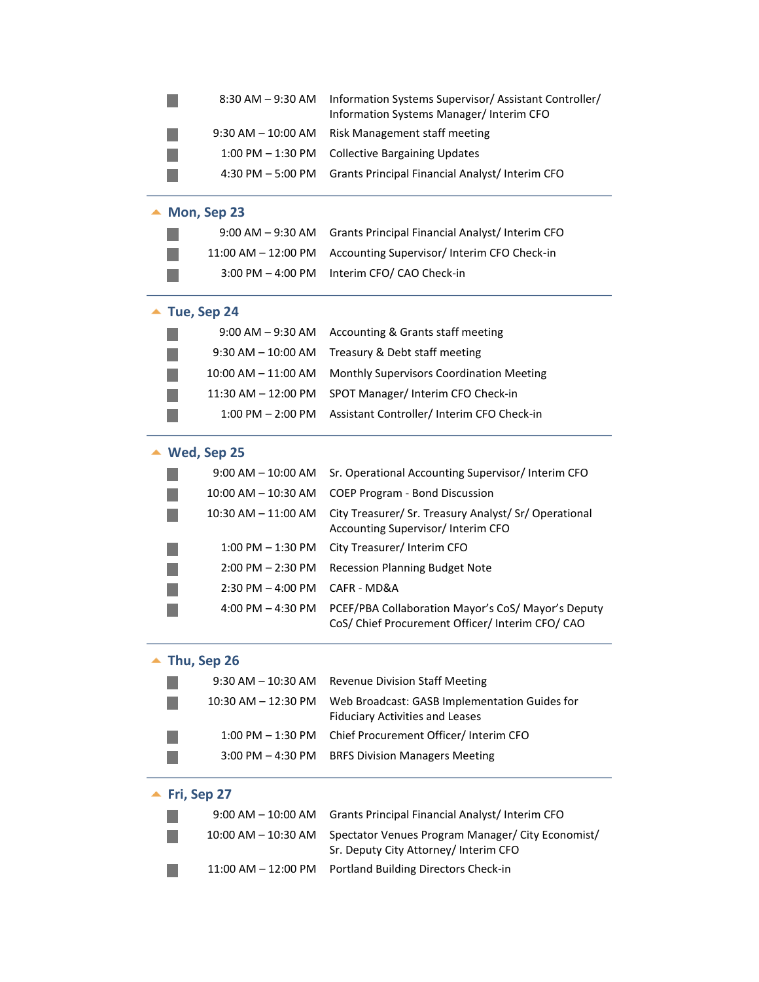|                      | 8:30 AM – 9:30 AM            | Information Systems Supervisor/ Assistant Controller/<br>Information Systems Manager/ Interim CFO      |
|----------------------|------------------------------|--------------------------------------------------------------------------------------------------------|
|                      | 9:30 AM – 10:00 AM           | Risk Management staff meeting                                                                          |
|                      | $1:00$ PM $-1:30$ PM         | <b>Collective Bargaining Updates</b>                                                                   |
| $4:30$ PM $-5:00$ PM |                              | Grants Principal Financial Analyst/Interim CFO                                                         |
|                      | $\blacktriangle$ Mon, Sep 23 |                                                                                                        |
|                      | $9:00$ AM $-9:30$ AM         | Grants Principal Financial Analyst/Interim CFO                                                         |
|                      | 11:00 AM - 12:00 PM          | Accounting Supervisor/ Interim CFO Check-in                                                            |
|                      | 3:00 PM - 4:00 PM            | Interim CFO/ CAO Check-in                                                                              |
|                      | $\blacktriangle$ Tue, Sep 24 |                                                                                                        |
|                      | $9:00$ AM $-9:30$ AM         | Accounting & Grants staff meeting                                                                      |
|                      | $9:30$ AM $- 10:00$ AM       | Treasury & Debt staff meeting                                                                          |
|                      | 10:00 AM - 11:00 AM          | Monthly Supervisors Coordination Meeting                                                               |
|                      | 11:30 AM – 12:00 PM          | SPOT Manager/ Interim CFO Check-in                                                                     |
|                      | $1:00$ PM $- 2:00$ PM        | Assistant Controller/ Interim CFO Check-in                                                             |
|                      | Wed, Sep 25                  |                                                                                                        |
|                      | 9:00 AM – 10:00 AM           | Sr. Operational Accounting Supervisor/Interim CFO                                                      |
|                      | 10:00 AM – 10:30 AM          | <b>COEP Program - Bond Discussion</b>                                                                  |
|                      | 10:30 AM – 11:00 AM          | City Treasurer/ Sr. Treasury Analyst/ Sr/ Operational<br>Accounting Supervisor/ Interim CFO            |
|                      | 1:00 PM - 1:30 PM            | City Treasurer/ Interim CFO                                                                            |
|                      | $2:00$ PM $- 2:30$ PM        | <b>Recession Planning Budget Note</b>                                                                  |
|                      | $2:30$ PM $-$ 4:00 PM        | CAFR - MD&A                                                                                            |
|                      | 4:00 PM $-$ 4:30 PM          | PCEF/PBA Collaboration Mayor's CoS/ Mayor's Deputy<br>CoS/ Chief Procurement Officer/ Interim CFO/ CAO |
|                      | Thu, Sep 26                  |                                                                                                        |
|                      | $9:30$ AM $- 10:30$ AM       | <b>Revenue Division Staff Meeting</b>                                                                  |
|                      | 10:30 AM – 12:30 PM          | Web Broadcast: GASB Implementation Guides for<br><b>Fiduciary Activities and Leases</b>                |
|                      | 1:00 PM - 1:30 PM            | Chief Procurement Officer/Interim CFO                                                                  |
|                      | $3:00$ PM $-$ 4:30 PM        | <b>BRFS Division Managers Meeting</b>                                                                  |
|                      | Fri, Sep 27                  |                                                                                                        |
|                      | $9:00$ AM $-$ 10:00 AM       | Grants Principal Financial Analyst/ Interim CFO                                                        |
|                      | 10:00 AM – 10:30 AM          | Spectator Venues Program Manager/ City Economist/<br>Sr. Deputy City Attorney/ Interim CFO             |
|                      | 11:00 AM - 12:00 PM          | Portland Building Directors Check-in                                                                   |